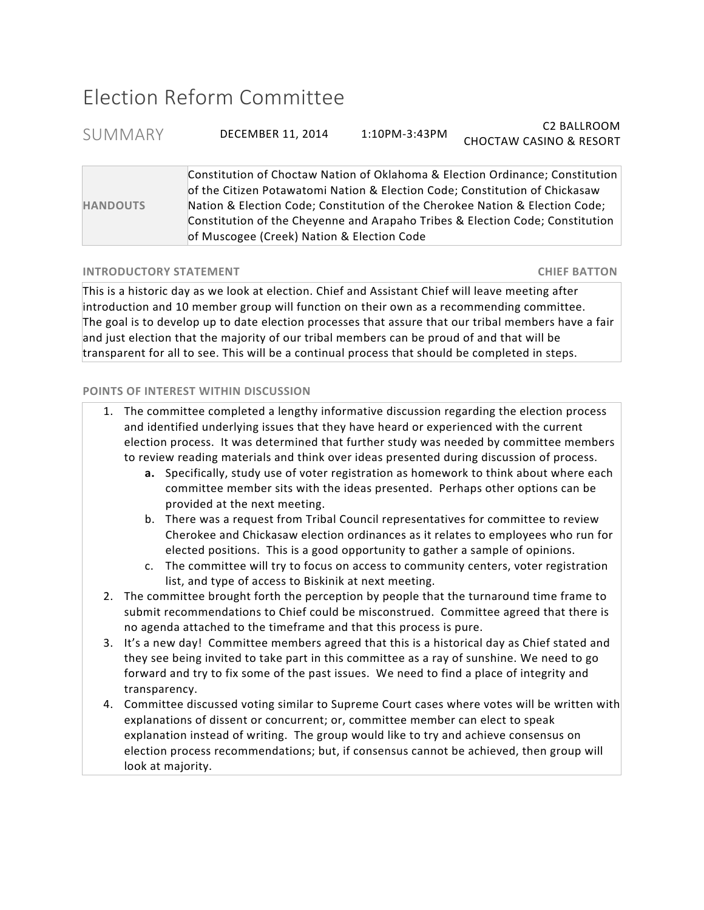## Election Reform Committee

SUMMARY DECEMBER 11, 2014 1:10PM-3:43PM C2 BALLROOM CHOCTAW CASINO & RESORT

**HANDOUTS** Constitution of Choctaw Nation of Oklahoma & Election Ordinance; Constitution of the Citizen Potawatomi Nation & Election Code; Constitution of Chickasaw Nation & Election Code; Constitution of the Cherokee Nation & Election Code; Constitution of the Cheyenne and Arapaho Tribes & Election Code; Constitution of Muscogee (Creek) Nation & Election Code

## **INTRODUCTORY 
STATEMENT 

 CHIEF 
BATTON**

This is a historic day as we look at election. Chief and Assistant Chief will leave meeting after introduction and 10 member group will function on their own as a recommending committee. The goal is to develop up to date election processes that assure that our tribal members have a fair and just election that the majority of our tribal members can be proud of and that will be transparent for all to see. This will be a continual process that should be completed in steps.

## **POINTS OF INTEREST WITHIN DISCUSSION**

| 1. The committee completed a lengthy informative discussion regarding the election process                                                                                                                                      |
|---------------------------------------------------------------------------------------------------------------------------------------------------------------------------------------------------------------------------------|
| and identified underlying issues that they have heard or experienced with the current                                                                                                                                           |
| election process. It was determined that further study was needed by committee members                                                                                                                                          |
| to review reading materials and think over ideas presented during discussion of process.                                                                                                                                        |
| $\sim$ . The set of the set of the set of the set of the set of the set of the set of the set of the set of the set of the set of the set of the set of the set of the set of the set of the set of the set of the set of the s |

- **a.** Specifically, study use of voter registration as homework to think about where each committee member sits with the ideas presented. Perhaps other options can be provided at the next meeting.
- b. There was a request from Tribal Council representatives for committee to review Cherokee and Chickasaw election ordinances as it relates to employees who run for elected positions. This is a good opportunity to gather a sample of opinions.
- c. The committee will try to focus on access to community centers, voter registration list, and type of access to Biskinik at next meeting.
- 2. The committee brought forth the perception by people that the turnaround time frame to submit recommendations to Chief could be misconstrued. Committee agreed that there is no agenda attached to the timeframe and that this process is pure.
- 3. It's a new day! Committee members agreed that this is a historical day as Chief stated and they see being invited to take part in this committee as a ray of sunshine. We need to go forward and try to fix some of the past issues. We need to find a place of integrity and transparency.
- 4. Committee discussed voting similar to Supreme Court cases where votes will be written with explanations of dissent or concurrent; or, committee member can elect to speak explanation instead of writing. The group would like to try and achieve consensus on election process recommendations; but, if consensus cannot be achieved, then group will look at majority.